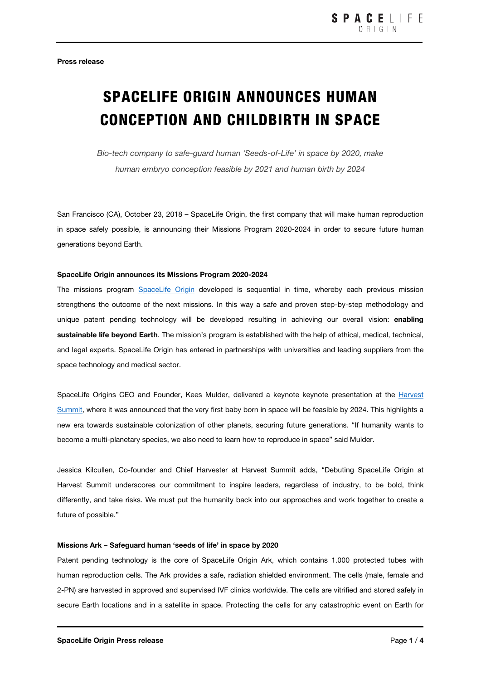Press release

# SPACELIFE ORIGIN ANNOUNCES HUMAN CONCEPTION AND CHILDBIRTH IN SPACE

*Bio-tech company to safe-guard human 'Seeds-of-Life' in space by 2020, make human embryo conception feasible by 2021 and human birth by 2024*

San Francisco (CA), October 23, 2018 – SpaceLife Origin, the first company that will make human reproduction in space safely possible, is announcing their Missions Program 2020-2024 in order to secure future human generations beyond Earth.

# SpaceLife Origin announces its Missions Program 2020-2024

The missions program [SpaceLife Origin](http://www.spacelifeorigin.com/) developed is sequential in time, whereby each previous mission strengthens the outcome of the next missions. In this way a safe and proven step-by-step methodology and unique patent pending technology will be developed resulting in achieving our overall vision: enabling sustainable life beyond Earth. The mission's program is established with the help of ethical, medical, technical, and legal experts. SpaceLife Origin has entered in partnerships with universities and leading suppliers from the space technology and medical sector.

SpaceLife Origins CEO and Founder, Kees Mulder, delivered a keynote keynote presentation at the Harvest [Summit,](http://harvestsummit.com/) where it was announced that the very first baby born in space will be feasible by 2024. This highlights a new era towards sustainable colonization of other planets, securing future generations. "If humanity wants to become a multi-planetary species, we also need to learn how to reproduce in space" said Mulder.

Jessica Kilcullen, Co-founder and Chief Harvester at Harvest Summit adds, "Debuting SpaceLife Origin at Harvest Summit underscores our commitment to inspire leaders, regardless of industry, to be bold, think differently, and take risks. We must put the humanity back into our approaches and work together to create a future of possible."

# Missions Ark – Safeguard human 'seeds of life' in space by 2020

Patent pending technology is the core of SpaceLife Origin Ark, which contains 1.000 protected tubes with human reproduction cells. The Ark provides a safe, radiation shielded environment. The cells (male, female and 2-PN) are harvested in approved and supervised IVF clinics worldwide. The cells are vitrified and stored safely in secure Earth locations and in a satellite in space. Protecting the cells for any catastrophic event on Earth for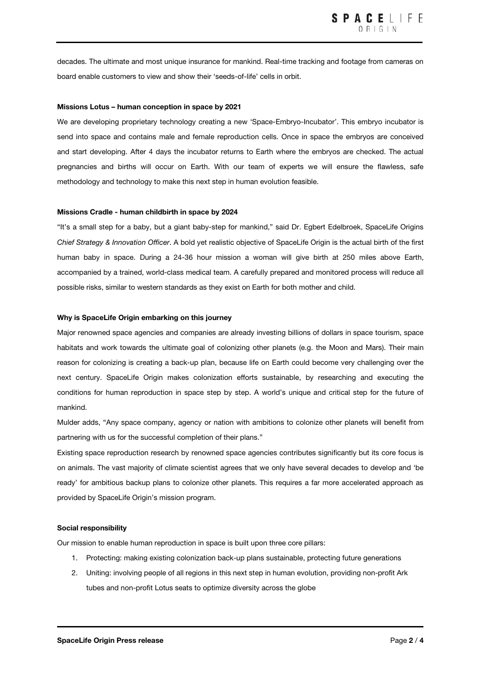decades. The ultimate and most unique insurance for mankind. Real-time tracking and footage from cameras on board enable customers to view and show their 'seeds-of-life' cells in orbit.

## Missions Lotus – human conception in space by 2021

We are developing proprietary technology creating a new 'Space-Embryo-Incubator'. This embryo incubator is send into space and contains male and female reproduction cells. Once in space the embryos are conceived and start developing. After 4 days the incubator returns to Earth where the embryos are checked. The actual pregnancies and births will occur on Earth. With our team of experts we will ensure the flawless, safe methodology and technology to make this next step in human evolution feasible.

#### Missions Cradle - human childbirth in space by 2024

"It's a small step for a baby, but a giant baby-step for mankind," said Dr. Egbert Edelbroek, SpaceLife Origins *Chief Strategy & Innovation Officer*. A bold yet realistic objective of SpaceLife Origin is the actual birth of the first human baby in space. During a 24-36 hour mission a woman will give birth at 250 miles above Earth, accompanied by a trained, world-class medical team. A carefully prepared and monitored process will reduce all possible risks, similar to western standards as they exist on Earth for both mother and child.

#### Why is SpaceLife Origin embarking on this journey

Major renowned space agencies and companies are already investing billions of dollars in space tourism, space habitats and work towards the ultimate goal of colonizing other planets (e.g. the Moon and Mars). Their main reason for colonizing is creating a back-up plan, because life on Earth could become very challenging over the next century. SpaceLife Origin makes colonization efforts sustainable, by researching and executing the conditions for human reproduction in space step by step. A world's unique and critical step for the future of mankind.

Mulder adds, "Any space company, agency or nation with ambitions to colonize other planets will benefit from partnering with us for the successful completion of their plans."

Existing space reproduction research by renowned space agencies contributes significantly but its core focus is on animals. The vast majority of climate scientist agrees that we only have several decades to develop and 'be ready' for ambitious backup plans to colonize other planets. This requires a far more accelerated approach as provided by SpaceLife Origin's mission program.

## Social responsibility

Our mission to enable human reproduction in space is built upon three core pillars:

- 1. Protecting: making existing colonization back-up plans sustainable, protecting future generations
- 2. Uniting: involving people of all regions in this next step in human evolution, providing non-profit Ark tubes and non-profit Lotus seats to optimize diversity across the globe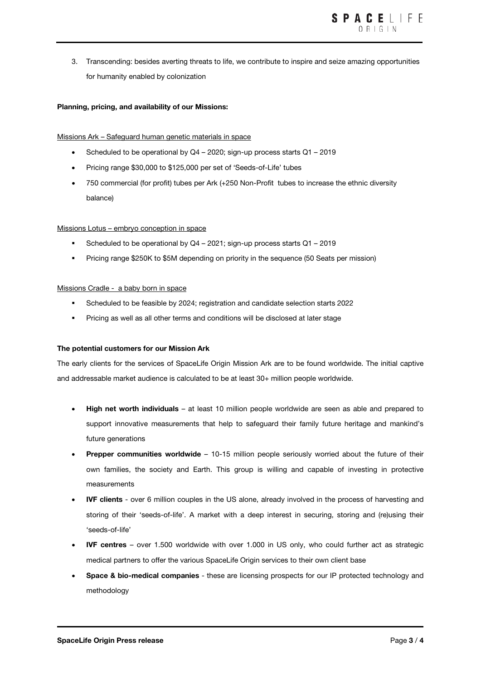3. Transcending: besides averting threats to life, we contribute to inspire and seize amazing opportunities for humanity enabled by colonization

# Planning, pricing, and availability of our Missions:

# Missions Ark – Safeguard human genetic materials in space

- Scheduled to be operational by Q4 2020; sign-up process starts Q1 2019
- Pricing range \$30,000 to \$125,000 per set of 'Seeds-of-Life' tubes
- 750 commercial (for profit) tubes per Ark (+250 Non-Profit tubes to increase the ethnic diversity balance)

# Missions Lotus – embryo conception in space

- Scheduled to be operational by Q4 2021; sign-up process starts Q1 2019
- Pricing range \$250K to \$5M depending on priority in the sequence (50 Seats per mission)

#### Missions Cradle - a baby born in space

- Scheduled to be feasible by 2024; registration and candidate selection starts 2022
- Pricing as well as all other terms and conditions will be disclosed at later stage

# The potential customers for our Mission Ark

The early clients for the services of SpaceLife Origin Mission Ark are to be found worldwide. The initial captive and addressable market audience is calculated to be at least 30+ million people worldwide.

- High net worth individuals at least 10 million people worldwide are seen as able and prepared to support innovative measurements that help to safeguard their family future heritage and mankind's future generations
- Prepper communities worldwide 10-15 million people seriously worried about the future of their own families, the society and Earth. This group is willing and capable of investing in protective measurements
- IVF clients over 6 million couples in the US alone, already involved in the process of harvesting and storing of their 'seeds-of-life'. A market with a deep interest in securing, storing and (re)using their 'seeds-of-life'
- IVF centres over 1.500 worldwide with over 1.000 in US only, who could further act as strategic medical partners to offer the various SpaceLife Origin services to their own client base
- Space & bio-medical companies these are licensing prospects for our IP protected technology and methodology